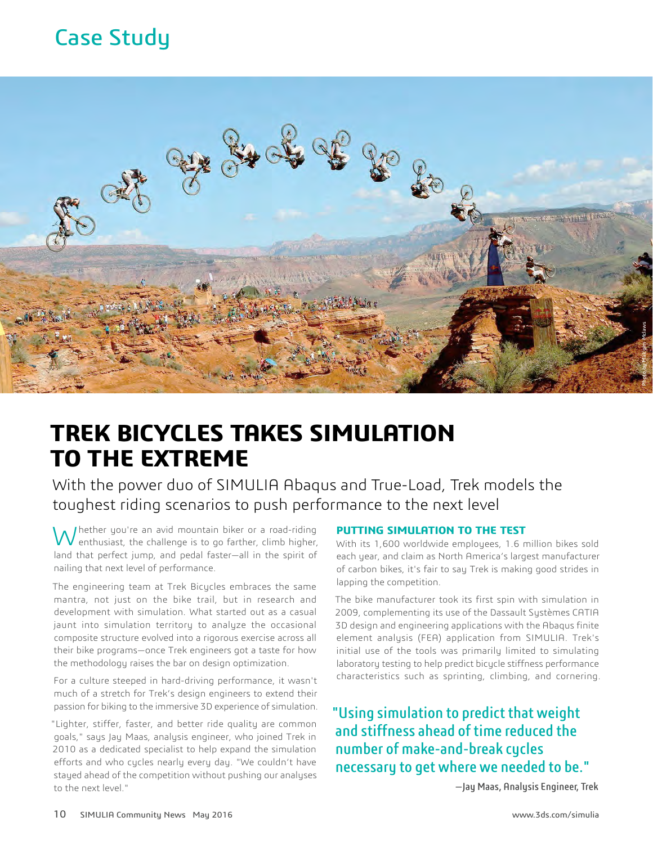# Case Study



# **TREK BICYCLES TAKES SIMULATION TO THE EXTREME**

With the power duo of SIMULIA Abaqus and True-Load, Trek models the toughest riding scenarios to push performance to the next level

I hether you're an avid mountain biker or a road-riding  $\bm{V}$  enthusiast, the challenge is to go farther, climb higher, land that perfect jump, and pedal faster—all in the spirit of nailing that next level of performance.

The engineering team at Trek Bicycles embraces the same mantra, not just on the bike trail, but in research and development with simulation. What started out as a casual jaunt into simulation territory to analyze the occasional composite structure evolved into a rigorous exercise across all their bike programs—once Trek engineers got a taste for how the methodology raises the bar on design optimization.

For a culture steeped in hard-driving performance, it wasn't much of a stretch for Trek's design engineers to extend their passion for biking to the immersive 3D experience of simulation.

"Lighter, stiffer, faster, and better ride quality are common goals," says Jay Maas, analysis engineer, who joined Trek in 2010 as a dedicated specialist to help expand the simulation efforts and who cycles nearly every day. "We couldn't have stayed ahead of the competition without pushing our analyses to the next level."

#### **PUTTING SIMULATION TO THE TEST**

With its 1,600 worldwide employees, 1.6 million bikes sold each year, and claim as North America's largest manufacturer of carbon bikes, it's fair to say Trek is making good strides in lapping the competition.

The bike manufacturer took its first spin with simulation in 2009, complementing its use of the Dassault Systèmes CATIA 3D design and engineering applications with the Abaqus finite element analysis (FEA) application from SIMULIA. Trek's initial use of the tools was primarily limited to simulating laboratory testing to help predict bicycle stiffness performance characteristics such as sprinting, climbing, and cornering.

"Using simulation to predict that weight and stiffness ahead of time reduced the number of make-and-break cycles necessary to get where we needed to be."

—Jay Maas, Analysis Engineer, Trek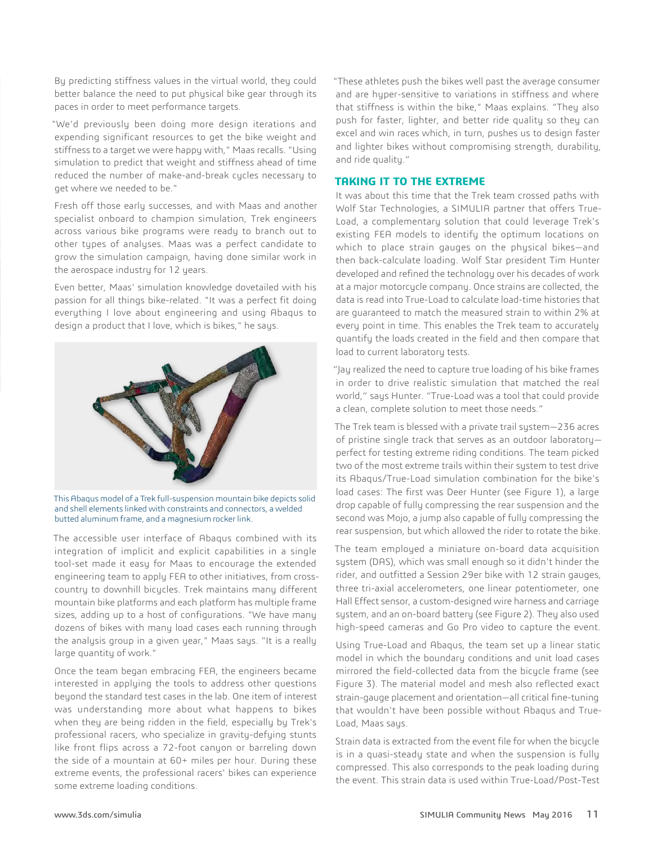By predicting stiffness values in the virtual world, they could better balance the need to put physical bike gear through its paces in order to meet performance targets.

"We'd previously been doing more design iterations and expending significant resources to get the bike weight and stiffness to a target we were happy with," Maas recalls. "Using simulation to predict that weight and stiffness ahead of time reduced the number of make-and-break cycles necessary to get where we needed to be."

Fresh off those early successes, and with Maas and another specialist onboard to champion simulation, Trek engineers across various bike programs were ready to branch out to other types of analyses. Maas was a perfect candidate to grow the simulation campaign, having done similar work in the aerospace industry for 12 years.

Even better, Maas' simulation knowledge dovetailed with his passion for all things bike-related. "It was a perfect fit doing everything I love about engineering and using Abaqus to design a product that I love, which is bikes," he says.



This Abaqus model of a Trek full-suspension mountain bike depicts solid and shell elements linked with constraints and connectors, a welded butted aluminum frame, and a magnesium rocker link.

The accessible user interface of Abaqus combined with its integration of implicit and explicit capabilities in a single tool-set made it easy for Maas to encourage the extended engineering team to apply FEA to other initiatives, from crosscountry to downhill bicycles. Trek maintains many different mountain bike platforms and each platform has multiple frame sizes, adding up to a host of configurations. "We have many dozens of bikes with many load cases each running through the analysis group in a given year," Maas says. "It is a really large quantity of work."

Once the team began embracing FEA, the engineers became interested in applying the tools to address other questions beyond the standard test cases in the lab. One item of interest was understanding more about what happens to bikes when they are being ridden in the field, especially by Trek's professional racers, who specialize in gravity-defying stunts like front flips across a 72-foot canyon or barreling down the side of a mountain at 60+ miles per hour. During these extreme events, the professional racers' bikes can experience some extreme loading conditions.

"These athletes push the bikes well past the average consumer and are hyper-sensitive to variations in stiffness and where that stiffness is within the bike," Maas explains. "They also push for faster, lighter, and better ride quality so they can excel and win races which, in turn, pushes us to design faster and lighter bikes without compromising strength, durability, and ride quality."

#### **TAKING IT TO THE EXTREME**

It was about this time that the Trek team crossed paths with Wolf Star Technologies, a SIMULIA partner that offers True-Load, a complementary solution that could leverage Trek's existing FEA models to identify the optimum locations on which to place strain gauges on the physical bikes—and then back-calculate loading. Wolf Star president Tim Hunter developed and refined the technology over his decades of work at a major motorcycle company. Once strains are collected, the data is read into True-Load to calculate load-time histories that are guaranteed to match the measured strain to within 2% at every point in time. This enables the Trek team to accurately quantify the loads created in the field and then compare that load to current laboratory tests.

"Jay realized the need to capture true loading of his bike frames in order to drive realistic simulation that matched the real world," says Hunter. "True-Load was a tool that could provide a clean, complete solution to meet those needs."

The Trek team is blessed with a private trail system—236 acres of pristine single track that serves as an outdoor laboratory perfect for testing extreme riding conditions. The team picked two of the most extreme trails within their system to test drive its Abaqus/True-Load simulation combination for the bike's load cases: The first was Deer Hunter (see Figure 1), a large drop capable of fully compressing the rear suspension and the second was Mojo, a jump also capable of fully compressing the rear suspension, but which allowed the rider to rotate the bike.

The team employed a miniature on-board data acquisition system (DAS), which was small enough so it didn't hinder the rider, and outfitted a Session 29er bike with 12 strain gauges, three tri-axial accelerometers, one linear potentiometer, one Hall Effect sensor, a custom-designed wire harness and carriage system, and an on-board battery (see Figure 2). They also used high-speed cameras and Go Pro video to capture the event.

Using True-Load and Abaqus, the team set up a linear static model in which the boundary conditions and unit load cases mirrored the field-collected data from the bicycle frame (see Figure 3). The material model and mesh also reflected exact strain-gauge placement and orientation—all critical fine-tuning that wouldn't have been possible without Abaqus and True-Load, Maas says.

Strain data is extracted from the event file for when the bicycle is in a quasi-steady state and when the suspension is fully compressed. This also corresponds to the peak loading during the event. This strain data is used within True-Load/Post-Test